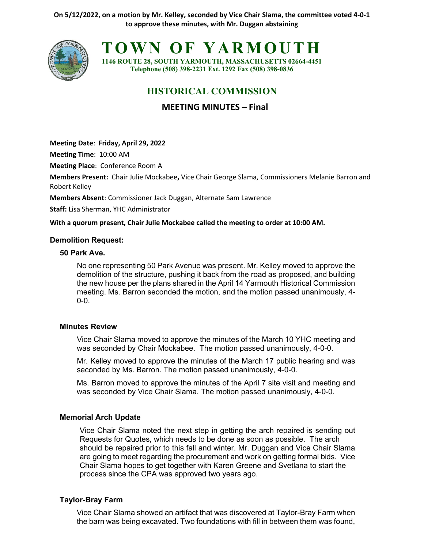**On 5/12/2022, on a motion by Mr. Kelley, seconded by Vice Chair Slama, the committee voted 4-0-1 to approve these minutes, with Mr. Duggan abstaining**



**TOWN OF YARMOUTH**

**1146 ROUTE 28, SOUTH YARMOUTH, MASSACHUSETTS 02664-4451 Telephone (508) 398-2231 Ext. 1292 Fax (508) 398-0836**

# **HISTORICAL COMMISSION**

**MEETING MINUTES – Final**

**Meeting Date**: **Friday, April 29, 2022**

**Meeting Time**: 10:00 AM

**Meeting Place**: Conference Room A

**Members Present:** Chair Julie Mockabee**,** Vice Chair George Slama, Commissioners Melanie Barron and Robert Kelley

**Members Absent**: Commissioner Jack Duggan, Alternate Sam Lawrence

**Staff:** Lisa Sherman, YHC Administrator

**With a quorum present, Chair Julie Mockabee called the meeting to order at 10:00 AM.**

#### **Demolition Request:**

#### **50 Park Ave.**

No one representing 50 Park Avenue was present. Mr. Kelley moved to approve the demolition of the structure, pushing it back from the road as proposed, and building the new house per the plans shared in the April 14 Yarmouth Historical Commission meeting. Ms. Barron seconded the motion, and the motion passed unanimously, 4- 0-0.

## **Minutes Review**

Vice Chair Slama moved to approve the minutes of the March 10 YHC meeting and was seconded by Chair Mockabee. The motion passed unanimously, 4-0-0.

Mr. Kelley moved to approve the minutes of the March 17 public hearing and was seconded by Ms. Barron. The motion passed unanimously, 4-0-0.

Ms. Barron moved to approve the minutes of the April 7 site visit and meeting and was seconded by Vice Chair Slama. The motion passed unanimously, 4-0-0.

## **Memorial Arch Update**

Vice Chair Slama noted the next step in getting the arch repaired is sending out Requests for Quotes, which needs to be done as soon as possible. The arch should be repaired prior to this fall and winter. Mr. Duggan and Vice Chair Slama are going to meet regarding the procurement and work on getting formal bids. Vice Chair Slama hopes to get together with Karen Greene and Svetlana to start the process since the CPA was approved two years ago.

## **Taylor-Bray Farm**

Vice Chair Slama showed an artifact that was discovered at Taylor-Bray Farm when the barn was being excavated. Two foundations with fill in between them was found,